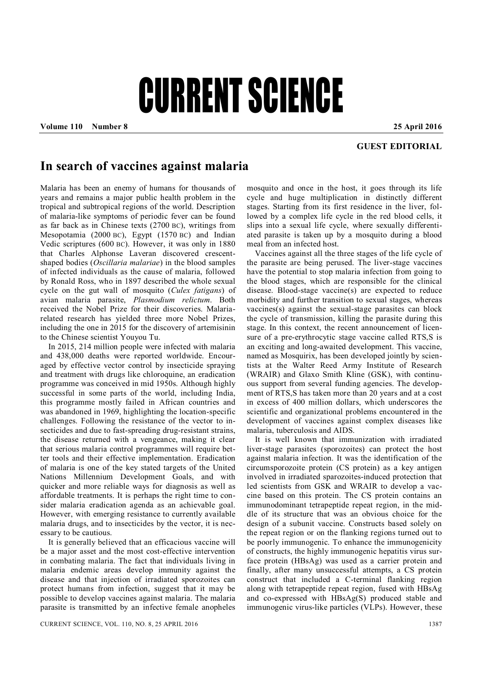## CURRENT SCIENCE

**Volume 110 Number 8 25 April 2016**

## **GUEST EDITORIAL**

## **In search of vaccines against malaria**

Malaria has been an enemy of humans for thousands of years and remains a major public health problem in the tropical and subtropical regions of the world. Description of malaria-like symptoms of periodic fever can be found as far back as in Chinese texts (2700 BC), writings from Mesopotamia (2000 BC), Egypt (1570 BC) and Indian Vedic scriptures (600 BC). However, it was only in 1880 that Charles Alphonse Laveran discovered crescentshaped bodies (*Oscillaria malariae*) in the blood samples of infected individuals as the cause of malaria, followed by Ronald Ross, who in 1897 described the whole sexual cycle on the gut wall of mosquito (*Culex fatigans*) of avian malaria parasite, *Plasmodium relictum*. Both received the Nobel Prize for their discoveries. Malariarelated research has yielded three more Nobel Prizes, including the one in 2015 for the discovery of artemisinin to the Chinese scientist Youyou Tu.

In 2015, 214 million people were infected with malaria and 438,000 deaths were reported worldwide. Encouraged by effective vector control by insecticide spraying and treatment with drugs like chloroquine, an eradication programme was conceived in mid 1950s. Although highly successful in some parts of the world, including India, this programme mostly failed in African countries and was abandoned in 1969, highlighting the location-specific challenges. Following the resistance of the vector to insecticides and due to fast-spreading drug-resistant strains, the disease returned with a vengeance, making it clear that serious malaria control programmes will require better tools and their effective implementation. Eradication of malaria is one of the key stated targets of the United Nations Millennium Development Goals, and with quicker and more reliable ways for diagnosis as well as affordable treatments. It is perhaps the right time to consider malaria eradication agenda as an achievable goal. However, with emerging resistance to currently available malaria drugs, and to insecticides by the vector, it is necessary to be cautious.

It is generally believed that an efficacious vaccine will be a major asset and the most cost-effective intervention in combating malaria. The fact that individuals living in malaria endemic areas develop immunity against the disease and that injection of irradiated sporozoites can protect humans from infection, suggest that it may be possible to develop vaccines against malaria. The malaria parasite is transmitted by an infective female anopheles

mosquito and once in the host, it goes through its life cycle and huge multiplication in distinctly different stages. Starting from its first residence in the liver, followed by a complex life cycle in the red blood cells, it slips into a sexual life cycle, where sexually differentiated parasite is taken up by a mosquito during a blood meal from an infected host.

Vaccines against all the three stages of the life cycle of the parasite are being perused. The liver-stage vaccines have the potential to stop malaria infection from going to the blood stages, which are responsible for the clinical disease. Blood-stage vaccine(s) are expected to reduce morbidity and further transition to sexual stages, whereas vaccines(s) against the sexual-stage parasites can block the cycle of transmission, killing the parasite during this stage. In this context, the recent announcement of licensure of a pre-erythrocytic stage vaccine called RTS,S is an exciting and long-awaited development. This vaccine, named as Mosquirix, has been developed jointly by scientists at the Walter Reed Army Institute of Research (WRAIR) and Glaxo Smith Kline (GSK), with continuous support from several funding agencies. The development of RTS,S has taken more than 20 years and at a cost in excess of 400 million dollars, which underscores the scientific and organizational problems encountered in the development of vaccines against complex diseases like malaria, tuberculosis and AIDS.

It is well known that immunization with irradiated liver-stage parasites (sporozoites) can protect the host against malaria infection. It was the identification of the circumsporozoite protein (CS protein) as a key antigen involved in irradiated sparozoites-induced protection that led scientists from GSK and WRAIR to develop a vaccine based on this protein. The CS protein contains an immunodominant tetrapeptide repeat region, in the middle of its structure that was an obvious choice for the design of a subunit vaccine. Constructs based solely on the repeat region or on the flanking regions turned out to be poorly immunogenic. To enhance the immunogenicity of constructs, the highly immunogenic hepatitis virus surface protein (HBsAg) was used as a carrier protein and finally, after many unsuccessful attempts, a CS protein construct that included a C-terminal flanking region along with tetrapeptide repeat region, fused with HBsAg and co-expressed with HBsAg(S) produced stable and immunogenic virus-like particles (VLPs). However, these